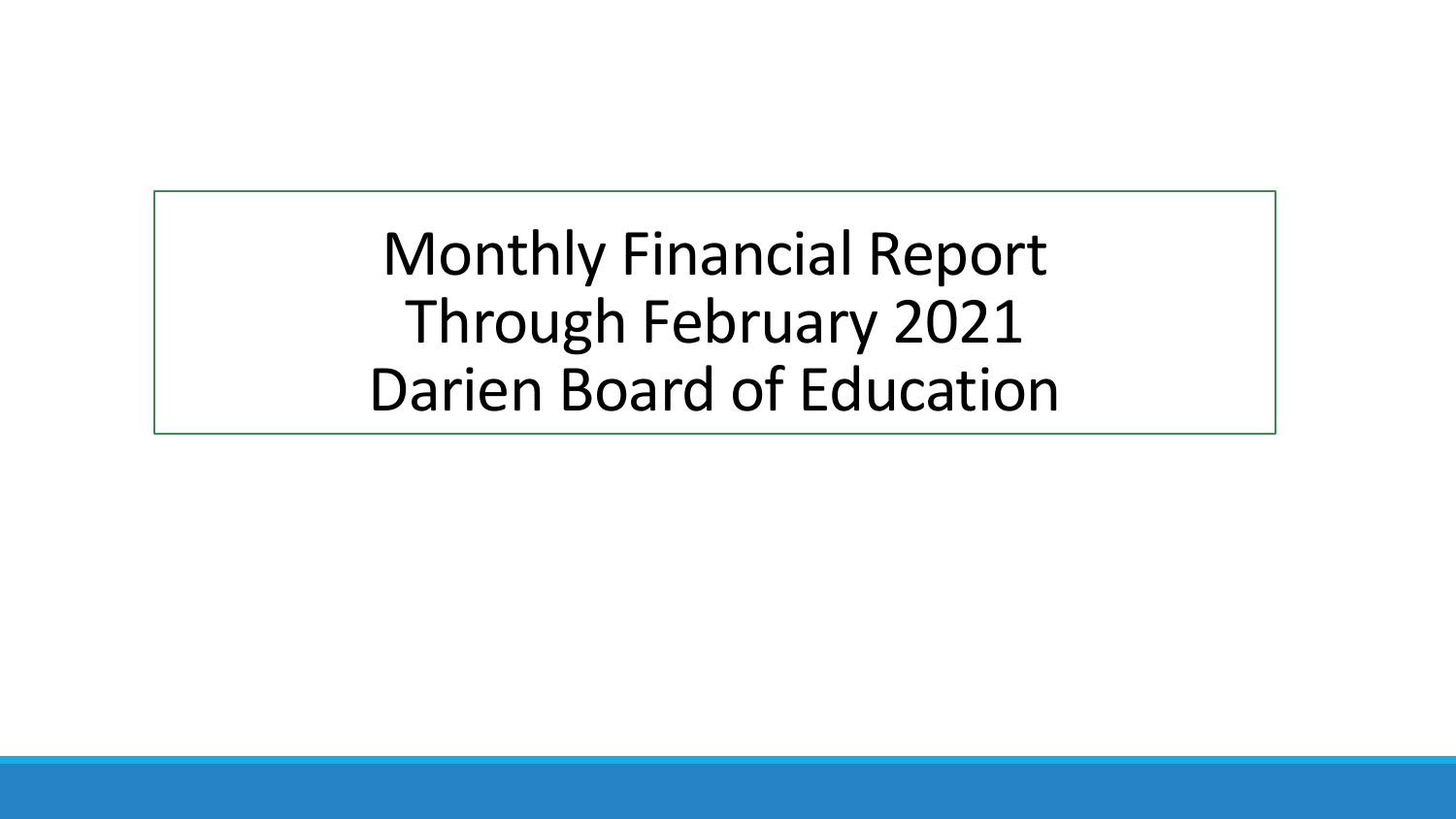Monthly Financial Report Through February 2021 Darien Board of Education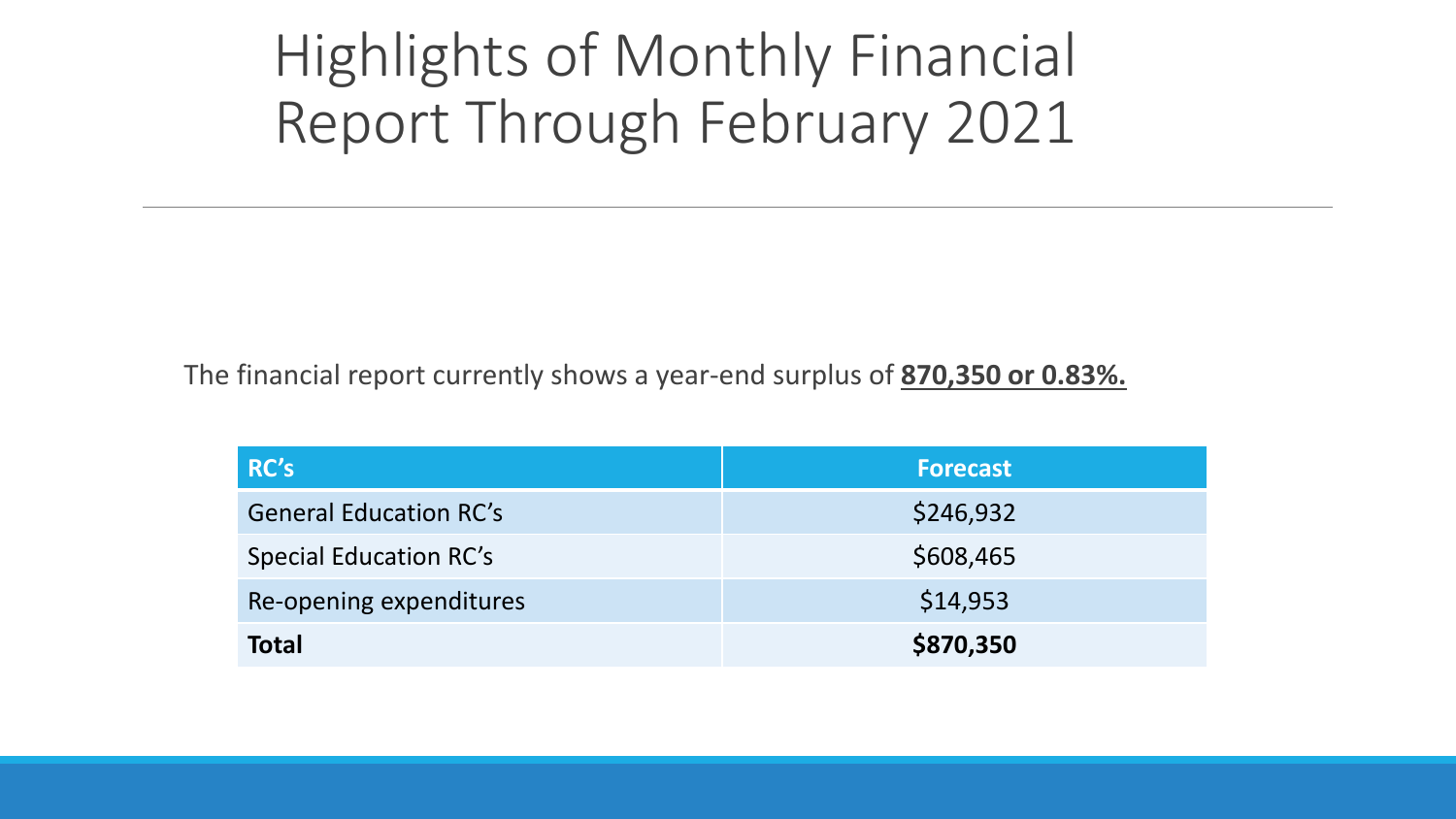## Highlights of Monthly Financial Report Through February 2021

The financial report currently shows a year-end surplus of **870,350 or 0.83%.**

| RC's                          | <b>Forecast</b> |
|-------------------------------|-----------------|
| <b>General Education RC's</b> | \$246,932       |
| <b>Special Education RC's</b> | \$608,465       |
| Re-opening expenditures       | \$14,953        |
| <b>Total</b>                  | \$870,350       |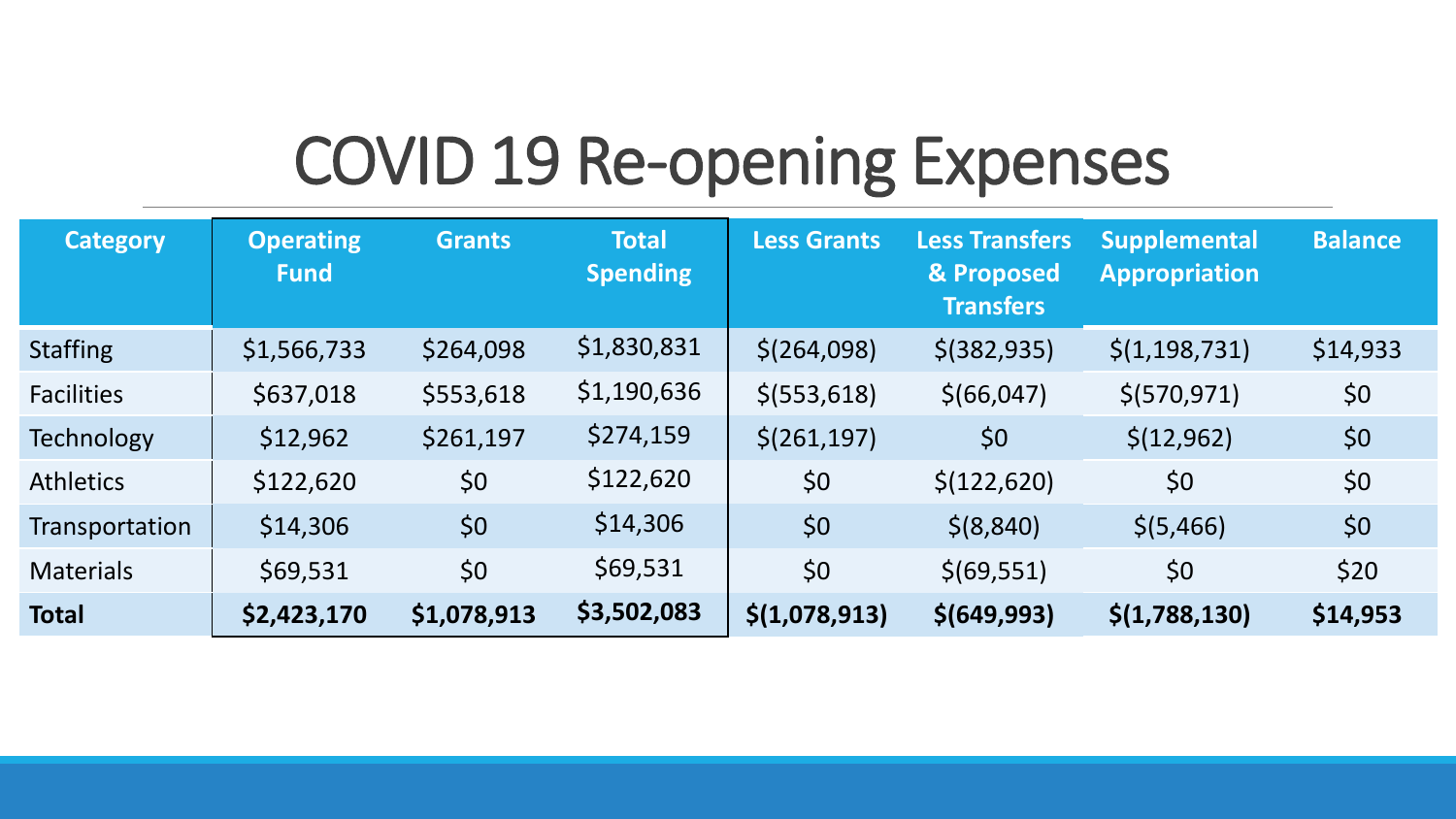## COVID 19 Re-opening Expenses

| <b>Category</b>   | <b>Operating</b><br><b>Fund</b> | <b>Grants</b> | <b>Total</b><br><b>Spending</b> | <b>Less Grants</b>       | <b>Less Transfers</b><br>& Proposed<br><b>Transfers</b> | <b>Supplemental</b><br><b>Appropriation</b> | <b>Balance</b> |
|-------------------|---------------------------------|---------------|---------------------------------|--------------------------|---------------------------------------------------------|---------------------------------------------|----------------|
| <b>Staffing</b>   | \$1,566,733                     | \$264,098     | \$1,830,831                     | \$(264,098)              | $$$ (382,935)                                           | $\frac{\xi(1,198,731)}{}$                   | \$14,933       |
| <b>Facilities</b> | \$637,018                       | \$553,618     | \$1,190,636                     | $$$ (553,618)            | \$(66, 047)                                             | \$(570, 971)                                | \$0            |
| Technology        | \$12,962                        | \$261,197     | \$274,159                       | $\frac{\xi(261,197)}{2}$ | \$0                                                     | \$(12, 962)                                 | \$0            |
| <b>Athletics</b>  | \$122,620                       | \$0           | \$122,620                       | \$0                      | \$(122, 620)                                            | \$0                                         | \$0            |
| Transportation    | \$14,306                        | \$0           | \$14,306                        | \$0                      | \$ (8, 840)                                             | \$(5,466)                                   | \$0            |
| <b>Materials</b>  | \$69,531                        | \$0           | \$69,531                        | \$0                      | \$ (69, 551)                                            | \$0                                         | \$20           |
| <b>Total</b>      | \$2,423,170                     | \$1,078,913   | \$3,502,083                     | \$(1,078,913)            | \$(649,993)                                             | \$(1,788,130)                               | \$14,953       |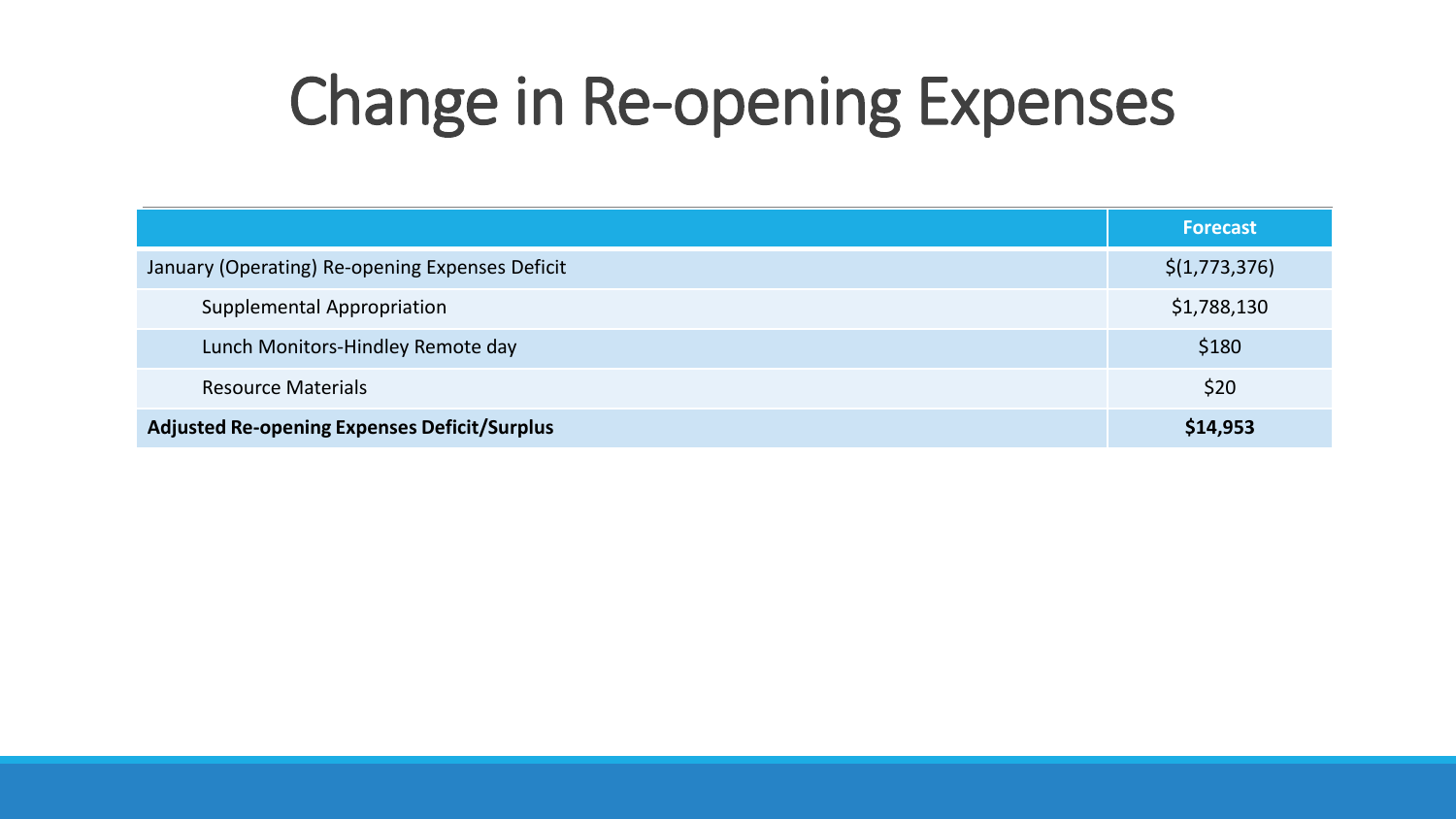# Change in Re-opening Expenses

|                                                     | <b>Forecast</b> |
|-----------------------------------------------------|-----------------|
| January (Operating) Re-opening Expenses Deficit     | \$(1,773,376)   |
| <b>Supplemental Appropriation</b>                   | \$1,788,130     |
| Lunch Monitors-Hindley Remote day                   | \$180           |
| <b>Resource Materials</b>                           | \$20            |
| <b>Adjusted Re-opening Expenses Deficit/Surplus</b> | \$14,953        |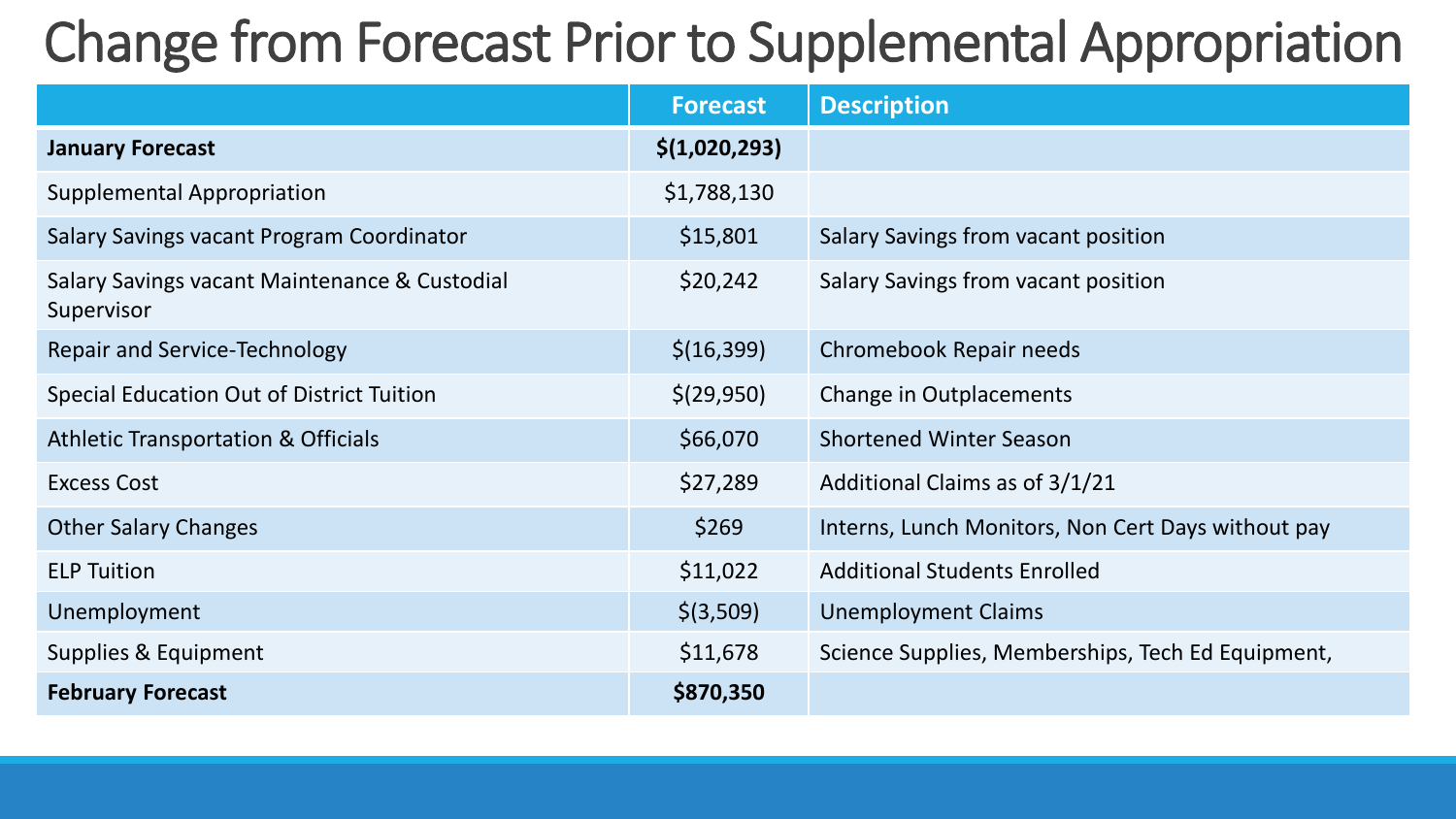## Change from Forecast Prior to Supplemental Appropriation

|                                                             | <b>Forecast</b> | <b>Description</b>                                 |
|-------------------------------------------------------------|-----------------|----------------------------------------------------|
| <b>January Forecast</b>                                     | \$(1,020,293)   |                                                    |
| <b>Supplemental Appropriation</b>                           | \$1,788,130     |                                                    |
| Salary Savings vacant Program Coordinator                   | \$15,801        | Salary Savings from vacant position                |
| Salary Savings vacant Maintenance & Custodial<br>Supervisor | \$20,242        | Salary Savings from vacant position                |
| <b>Repair and Service-Technology</b>                        | \$(16, 399)     | Chromebook Repair needs                            |
| Special Education Out of District Tuition                   | \$(29,950)      | Change in Outplacements                            |
| <b>Athletic Transportation &amp; Officials</b>              | \$66,070        | <b>Shortened Winter Season</b>                     |
| <b>Excess Cost</b>                                          | \$27,289        | Additional Claims as of 3/1/21                     |
| <b>Other Salary Changes</b>                                 | \$269           | Interns, Lunch Monitors, Non Cert Days without pay |
| <b>ELP Tuition</b>                                          | \$11,022        | <b>Additional Students Enrolled</b>                |
| Unemployment                                                | $$$ (3,509)     | <b>Unemployment Claims</b>                         |
| Supplies & Equipment                                        | \$11,678        | Science Supplies, Memberships, Tech Ed Equipment,  |
| <b>February Forecast</b>                                    | \$870,350       |                                                    |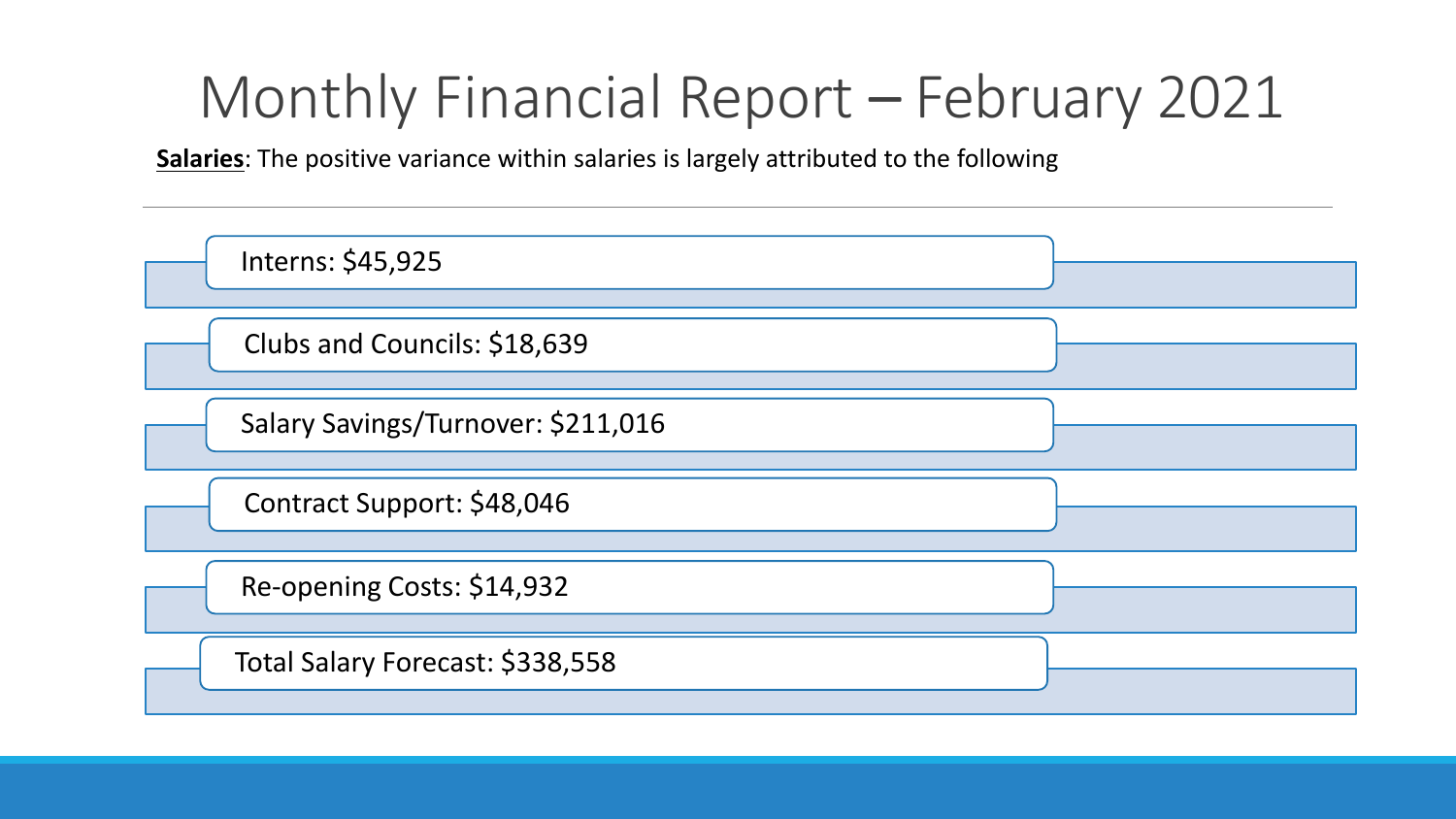**Salaries**: The positive variance within salaries is largely attributed to the following

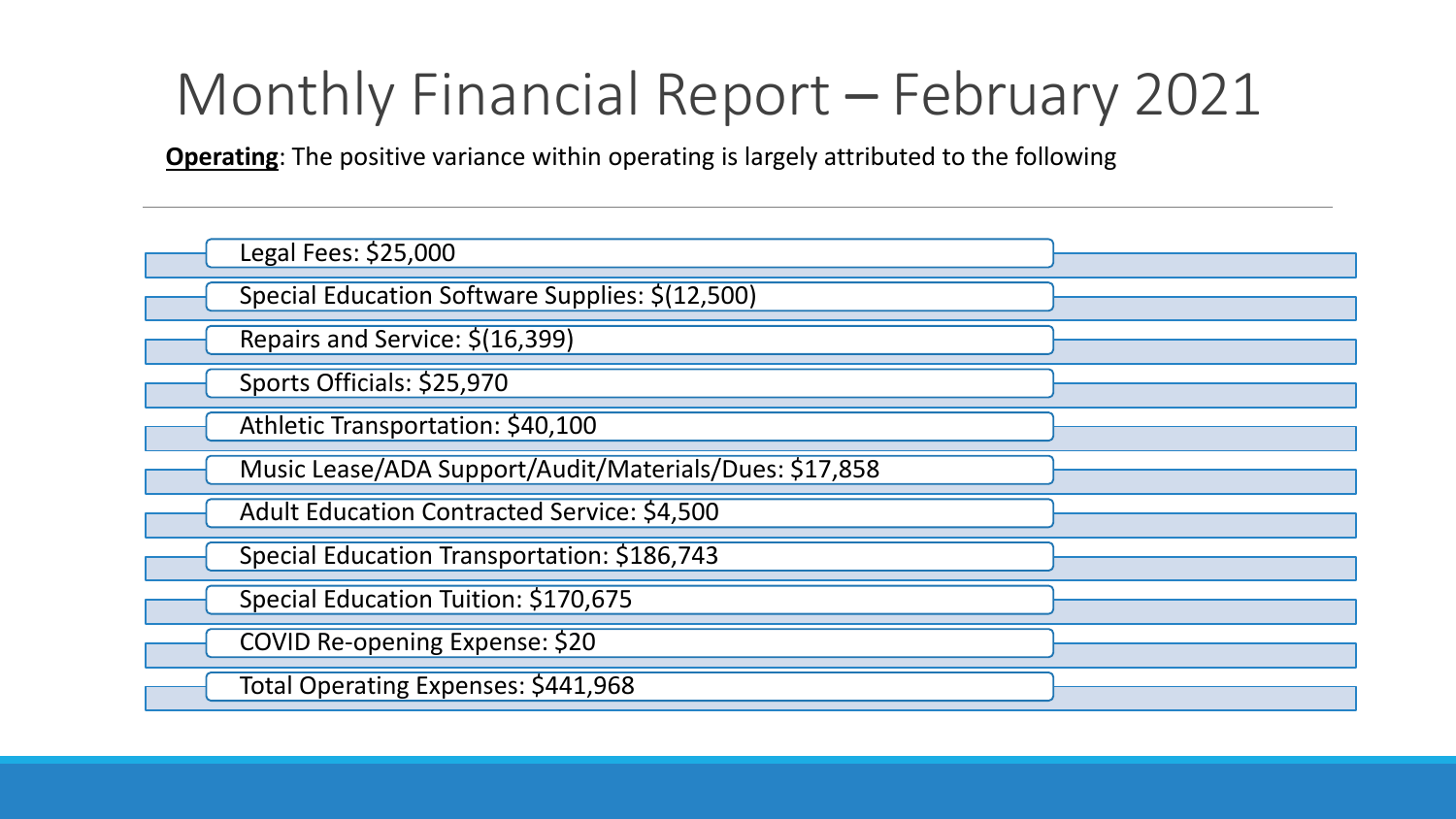**Operating**: The positive variance within operating is largely attributed to the following

| Legal Fees: \$25,000                                   |  |
|--------------------------------------------------------|--|
| Special Education Software Supplies: \$(12,500)        |  |
| Repairs and Service: \$(16,399)                        |  |
| Sports Officials: \$25,970                             |  |
| Athletic Transportation: \$40,100                      |  |
| Music Lease/ADA Support/Audit/Materials/Dues: \$17,858 |  |
| Adult Education Contracted Service: \$4,500            |  |
| Special Education Transportation: \$186,743            |  |
| Special Education Tuition: \$170,675                   |  |
| COVID Re-opening Expense: \$20                         |  |
| Total Operating Expenses: \$441,968                    |  |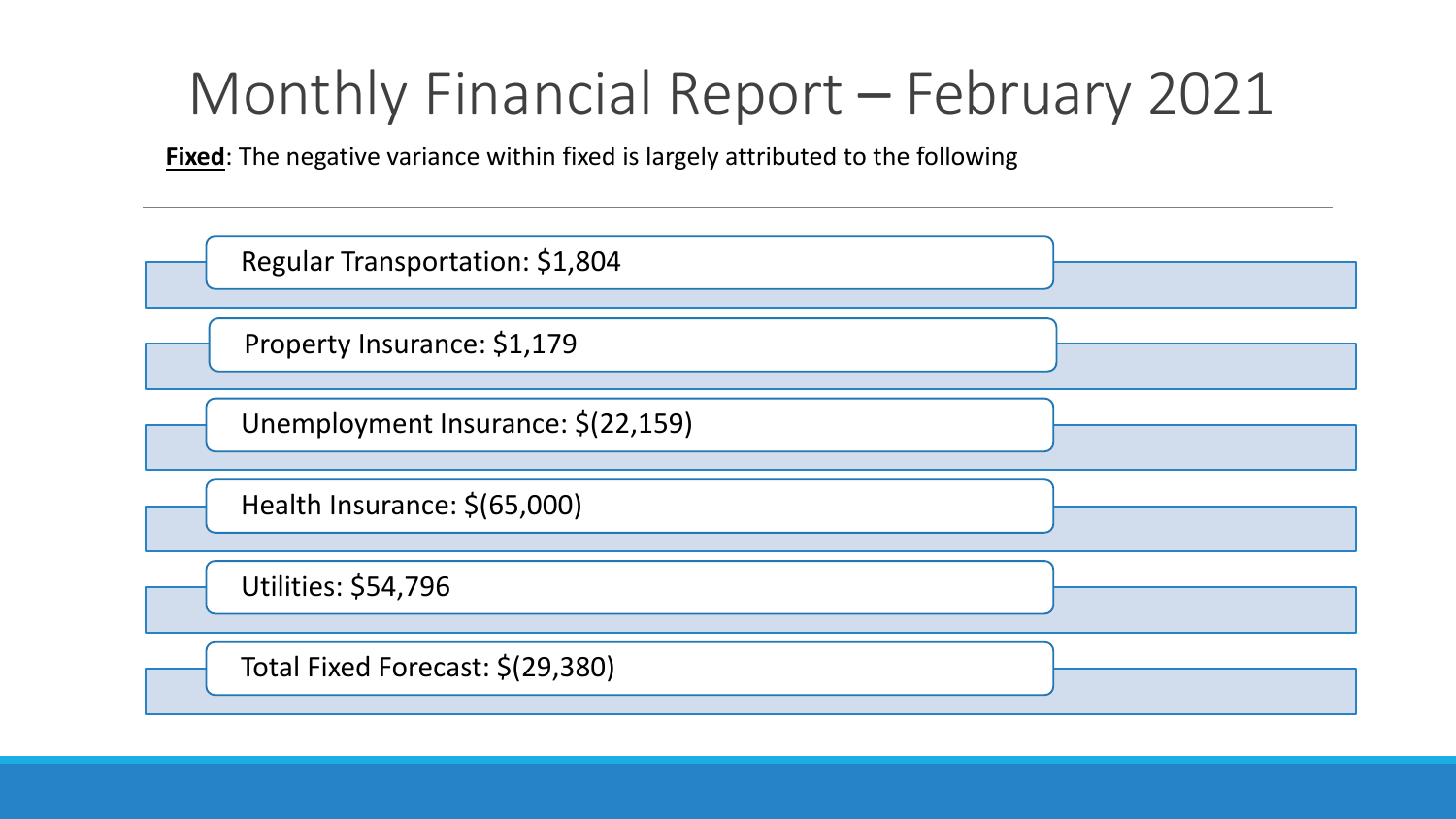**Fixed**: The negative variance within fixed is largely attributed to the following

| Regular Transportation: \$1,804    |  |
|------------------------------------|--|
| Property Insurance: \$1,179        |  |
| Unemployment Insurance: \$(22,159) |  |
| Health Insurance: \$(65,000)       |  |
| <b>Utilities: \$54,796</b>         |  |
| Total Fixed Forecast: \$(29,380)   |  |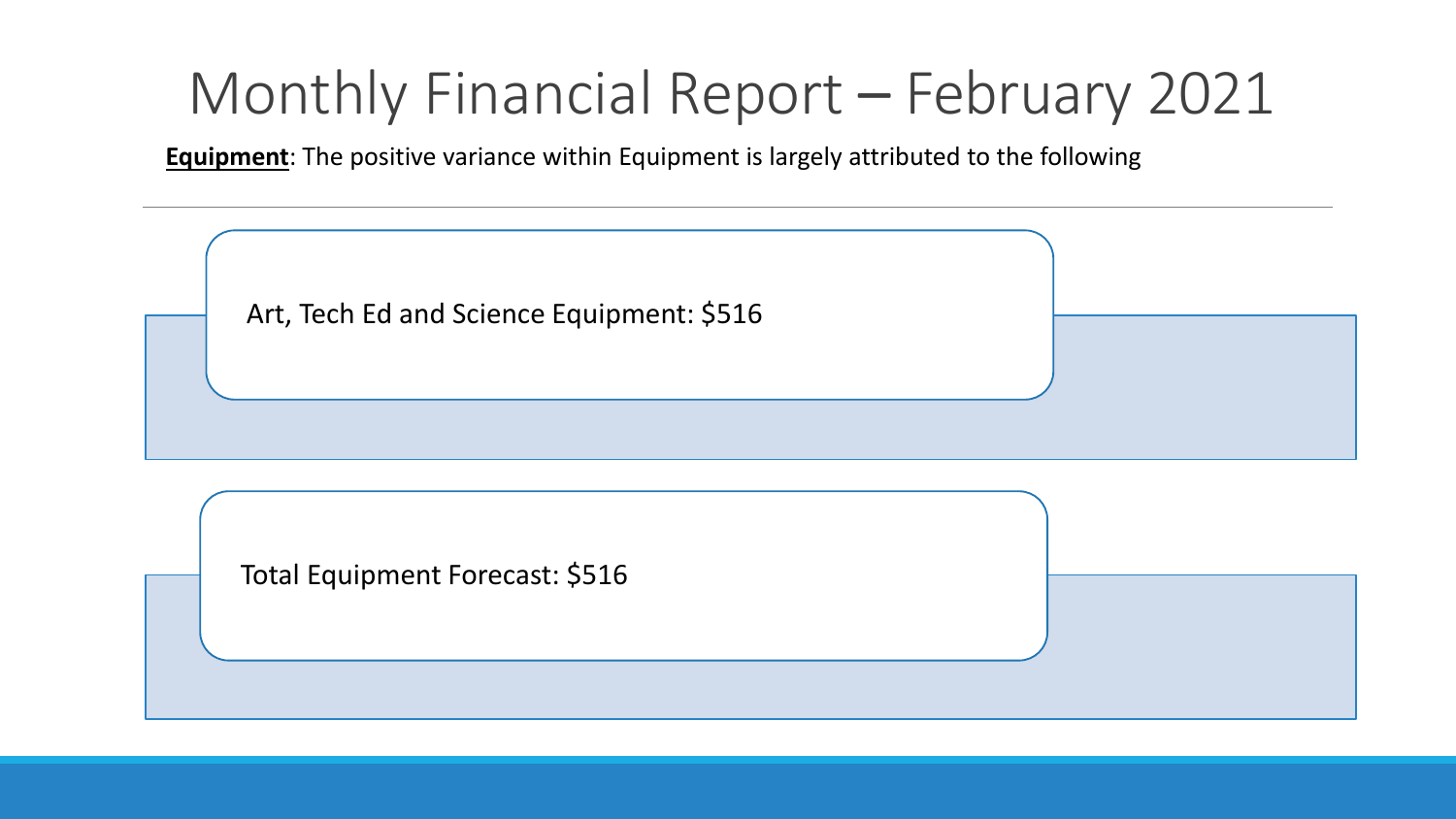**Equipment**: The positive variance within Equipment is largely attributed to the following



Total Equipment Forecast: \$516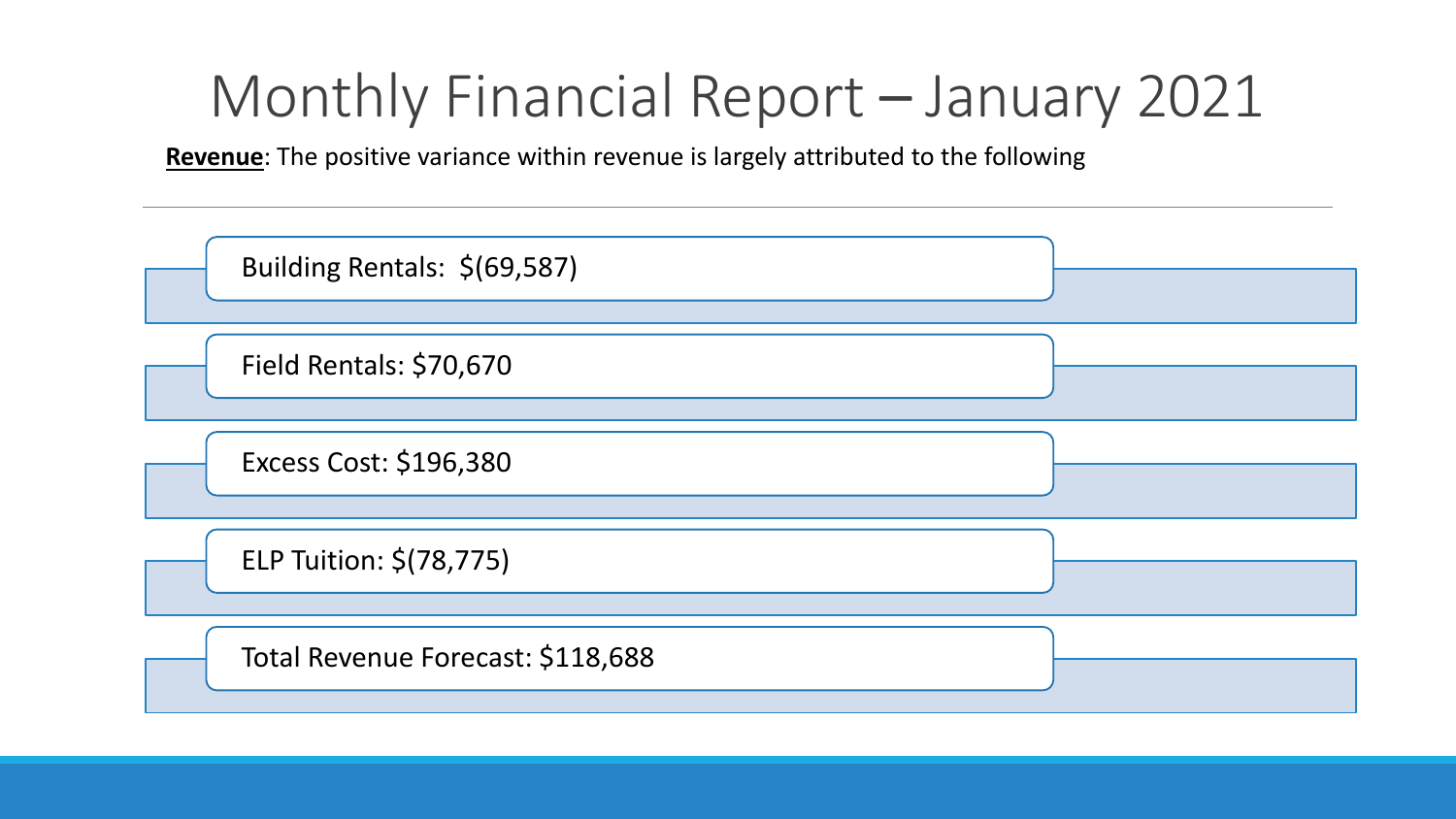#### Monthly Financial Report – January 2021

**Revenue**: The positive variance within revenue is largely attributed to the following